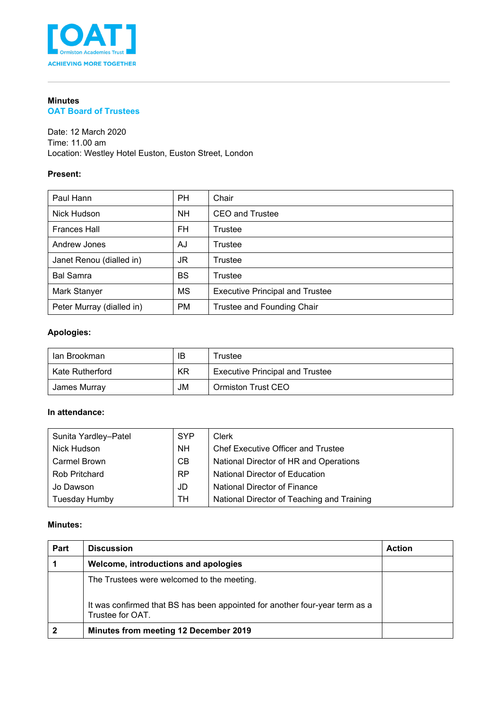

# **Minutes**

### **OAT Board of Trustees**

Date: 12 March 2020 Time: 11.00 am Location: Westley Hotel Euston, Euston Street, London

### **Present:**

| Paul Hann                 | <b>PH</b> | Chair                                  |
|---------------------------|-----------|----------------------------------------|
| Nick Hudson               | <b>NH</b> | CEO and Trustee                        |
| <b>Frances Hall</b>       | FH.       | Trustee                                |
| Andrew Jones              | AJ        | Trustee                                |
| Janet Renou (dialled in)  | JR        | Trustee                                |
| <b>Bal Samra</b>          | <b>BS</b> | Trustee                                |
| Mark Stanyer              | MS        | <b>Executive Principal and Trustee</b> |
| Peter Murray (dialled in) | <b>PM</b> | Trustee and Founding Chair             |

## **Apologies:**

| lan Brookman    | IB | Trustee                                |  |
|-----------------|----|----------------------------------------|--|
| Kate Rutherford | KR | <b>Executive Principal and Trustee</b> |  |
| James Murray    | JM | Ormiston Trust CEO                     |  |

### **In attendance:**

| Sunita Yardley-Patel | <b>SYP</b> | Clerk                                      |
|----------------------|------------|--------------------------------------------|
| Nick Hudson          | <b>NH</b>  | <b>Chef Executive Officer and Trustee</b>  |
| <b>Carmel Brown</b>  | CB         | National Director of HR and Operations     |
| <b>Rob Pritchard</b> | <b>RP</b>  | National Director of Education             |
| Jo Dawson            | JD         | National Director of Finance               |
| Tuesday Humby        | TН         | National Director of Teaching and Training |

#### **Minutes:**

| Part | <b>Discussion</b>                                                                                                                             | <b>Action</b> |
|------|-----------------------------------------------------------------------------------------------------------------------------------------------|---------------|
|      | Welcome, introductions and apologies                                                                                                          |               |
|      | The Trustees were welcomed to the meeting.<br>It was confirmed that BS has been appointed for another four-year term as a<br>Trustee for OAT. |               |
|      | <b>Minutes from meeting 12 December 2019</b>                                                                                                  |               |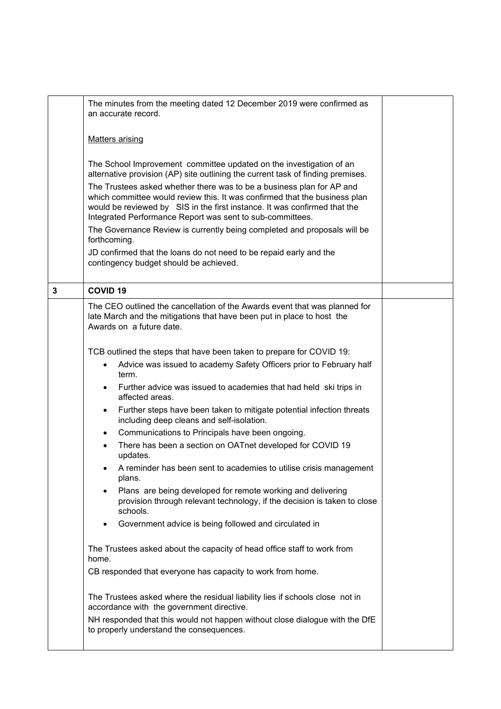|   | The minutes from the meeting dated 12 December 2019 were confirmed as<br>an accurate record.                                                                                                                                                                                                  |  |  |  |  |
|---|-----------------------------------------------------------------------------------------------------------------------------------------------------------------------------------------------------------------------------------------------------------------------------------------------|--|--|--|--|
|   | <b>Matters arising</b>                                                                                                                                                                                                                                                                        |  |  |  |  |
|   | The School Improvement committee updated on the investigation of an<br>alternative provision (AP) site outlining the current task of finding premises.                                                                                                                                        |  |  |  |  |
|   | The Trustees asked whether there was to be a business plan for AP and<br>which committee would review this. It was confirmed that the business plan<br>would be reviewed by SIS in the first instance. It was confirmed that the<br>Integrated Performance Report was sent to sub-committees. |  |  |  |  |
|   | The Governance Review is currently being completed and proposals will be<br>forthcoming.                                                                                                                                                                                                      |  |  |  |  |
|   | JD confirmed that the loans do not need to be repaid early and the<br>contingency budget should be achieved.                                                                                                                                                                                  |  |  |  |  |
| 3 | <b>COVID 19</b>                                                                                                                                                                                                                                                                               |  |  |  |  |
|   | The CEO outlined the cancellation of the Awards event that was planned for<br>late March and the mitigations that have been put in place to host the<br>Awards on a future date.                                                                                                              |  |  |  |  |
|   | TCB outlined the steps that have been taken to prepare for COVID 19:                                                                                                                                                                                                                          |  |  |  |  |
|   | Advice was issued to academy Safety Officers prior to February half<br>$\bullet$<br>term.                                                                                                                                                                                                     |  |  |  |  |
|   | Further advice was issued to academies that had held ski trips in<br>affected areas.                                                                                                                                                                                                          |  |  |  |  |
|   | Further steps have been taken to mitigate potential infection threats<br>$\bullet$<br>including deep cleans and self-isolation.                                                                                                                                                               |  |  |  |  |
|   | Communications to Principals have been ongoing.<br>٠                                                                                                                                                                                                                                          |  |  |  |  |
|   | There has been a section on OATnet developed for COVID 19<br>updates.                                                                                                                                                                                                                         |  |  |  |  |
|   | A reminder has been sent to academies to utilise crisis management<br>plans.                                                                                                                                                                                                                  |  |  |  |  |
|   | Plans are being developed for remote working and delivering<br>provision through relevant technology, if the decision is taken to close<br>schools.                                                                                                                                           |  |  |  |  |
|   | Government advice is being followed and circulated in                                                                                                                                                                                                                                         |  |  |  |  |
|   | The Trustees asked about the capacity of head office staff to work from<br>home.                                                                                                                                                                                                              |  |  |  |  |
|   | CB responded that everyone has capacity to work from home.                                                                                                                                                                                                                                    |  |  |  |  |
|   | The Trustees asked where the residual liability lies if schools close not in<br>accordance with the government directive.                                                                                                                                                                     |  |  |  |  |
|   | NH responded that this would not happen without close dialogue with the DfE<br>to properly understand the consequences.                                                                                                                                                                       |  |  |  |  |
|   |                                                                                                                                                                                                                                                                                               |  |  |  |  |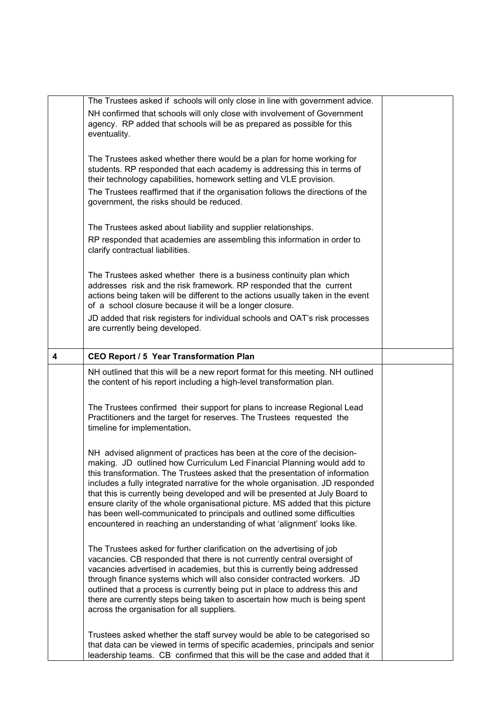|   | The Trustees asked if schools will only close in line with government advice.                                                                                                                                                                                                                                                                                                                                                                                                                                                                                                                                                                 |  |
|---|-----------------------------------------------------------------------------------------------------------------------------------------------------------------------------------------------------------------------------------------------------------------------------------------------------------------------------------------------------------------------------------------------------------------------------------------------------------------------------------------------------------------------------------------------------------------------------------------------------------------------------------------------|--|
|   | NH confirmed that schools will only close with involvement of Government<br>agency. RP added that schools will be as prepared as possible for this<br>eventuality.                                                                                                                                                                                                                                                                                                                                                                                                                                                                            |  |
|   | The Trustees asked whether there would be a plan for home working for<br>students. RP responded that each academy is addressing this in terms of<br>their technology capabilities, homework setting and VLE provision.                                                                                                                                                                                                                                                                                                                                                                                                                        |  |
|   | The Trustees reaffirmed that if the organisation follows the directions of the<br>government, the risks should be reduced.                                                                                                                                                                                                                                                                                                                                                                                                                                                                                                                    |  |
|   | The Trustees asked about liability and supplier relationships.                                                                                                                                                                                                                                                                                                                                                                                                                                                                                                                                                                                |  |
|   | RP responded that academies are assembling this information in order to<br>clarify contractual liabilities.                                                                                                                                                                                                                                                                                                                                                                                                                                                                                                                                   |  |
|   | The Trustees asked whether there is a business continuity plan which<br>addresses risk and the risk framework. RP responded that the current<br>actions being taken will be different to the actions usually taken in the event<br>of a school closure because it will be a longer closure.                                                                                                                                                                                                                                                                                                                                                   |  |
|   | JD added that risk registers for individual schools and OAT's risk processes<br>are currently being developed.                                                                                                                                                                                                                                                                                                                                                                                                                                                                                                                                |  |
| 4 | CEO Report / 5 Year Transformation Plan                                                                                                                                                                                                                                                                                                                                                                                                                                                                                                                                                                                                       |  |
|   | NH outlined that this will be a new report format for this meeting. NH outlined<br>the content of his report including a high-level transformation plan.                                                                                                                                                                                                                                                                                                                                                                                                                                                                                      |  |
|   | The Trustees confirmed their support for plans to increase Regional Lead<br>Practitioners and the target for reserves. The Trustees requested the<br>timeline for implementation.                                                                                                                                                                                                                                                                                                                                                                                                                                                             |  |
|   | NH advised alignment of practices has been at the core of the decision-<br>making. JD outlined how Curriculum Led Financial Planning would add to<br>this transformation. The Trustees asked that the presentation of information<br>includes a fully integrated narrative for the whole organisation. JD responded<br>that this is currently being developed and will be presented at July Board to<br>ensure clarity of the whole organisational picture. MS added that this picture<br>has been well-communicated to principals and outlined some difficulties<br>encountered in reaching an understanding of what 'alignment' looks like. |  |
|   | The Trustees asked for further clarification on the advertising of job<br>vacancies. CB responded that there is not currently central oversight of<br>vacancies advertised in academies, but this is currently being addressed<br>through finance systems which will also consider contracted workers. JD<br>outlined that a process is currently being put in place to address this and<br>there are currently steps being taken to ascertain how much is being spent<br>across the organisation for all suppliers.                                                                                                                          |  |
|   | Trustees asked whether the staff survey would be able to be categorised so<br>that data can be viewed in terms of specific academies, principals and senior<br>leadership teams. CB confirmed that this will be the case and added that it                                                                                                                                                                                                                                                                                                                                                                                                    |  |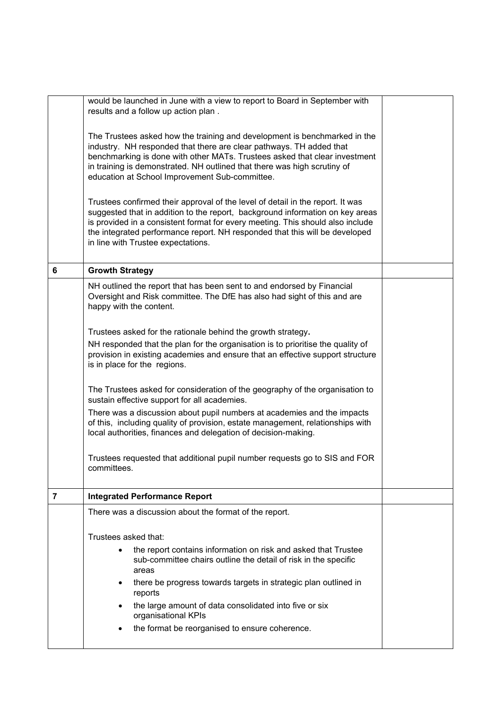|   | would be launched in June with a view to report to Board in September with<br>results and a follow up action plan.                                                                                                                                                                                                                                                     |  |  |  |
|---|------------------------------------------------------------------------------------------------------------------------------------------------------------------------------------------------------------------------------------------------------------------------------------------------------------------------------------------------------------------------|--|--|--|
|   | The Trustees asked how the training and development is benchmarked in the<br>industry. NH responded that there are clear pathways. TH added that<br>benchmarking is done with other MATs. Trustees asked that clear investment<br>in training is demonstrated. NH outlined that there was high scrutiny of<br>education at School Improvement Sub-committee.           |  |  |  |
|   | Trustees confirmed their approval of the level of detail in the report. It was<br>suggested that in addition to the report, background information on key areas<br>is provided in a consistent format for every meeting. This should also include<br>the integrated performance report. NH responded that this will be developed<br>in line with Trustee expectations. |  |  |  |
| 6 | <b>Growth Strategy</b>                                                                                                                                                                                                                                                                                                                                                 |  |  |  |
|   | NH outlined the report that has been sent to and endorsed by Financial<br>Oversight and Risk committee. The DfE has also had sight of this and are<br>happy with the content.                                                                                                                                                                                          |  |  |  |
|   | Trustees asked for the rationale behind the growth strategy.                                                                                                                                                                                                                                                                                                           |  |  |  |
|   | NH responded that the plan for the organisation is to prioritise the quality of<br>provision in existing academies and ensure that an effective support structure<br>is in place for the regions.                                                                                                                                                                      |  |  |  |
|   | The Trustees asked for consideration of the geography of the organisation to<br>sustain effective support for all academies.                                                                                                                                                                                                                                           |  |  |  |
|   | There was a discussion about pupil numbers at academies and the impacts<br>of this, including quality of provision, estate management, relationships with<br>local authorities, finances and delegation of decision-making.                                                                                                                                            |  |  |  |
|   | Trustees requested that additional pupil number requests go to SIS and FOR<br>committees.                                                                                                                                                                                                                                                                              |  |  |  |
| 7 | <b>Integrated Performance Report</b>                                                                                                                                                                                                                                                                                                                                   |  |  |  |
|   | There was a discussion about the format of the report.                                                                                                                                                                                                                                                                                                                 |  |  |  |
|   | Trustees asked that:                                                                                                                                                                                                                                                                                                                                                   |  |  |  |
|   | the report contains information on risk and asked that Trustee<br>sub-committee chairs outline the detail of risk in the specific<br>areas                                                                                                                                                                                                                             |  |  |  |
|   | there be progress towards targets in strategic plan outlined in<br>reports                                                                                                                                                                                                                                                                                             |  |  |  |
|   | the large amount of data consolidated into five or six<br>organisational KPIs                                                                                                                                                                                                                                                                                          |  |  |  |
|   | the format be reorganised to ensure coherence.                                                                                                                                                                                                                                                                                                                         |  |  |  |